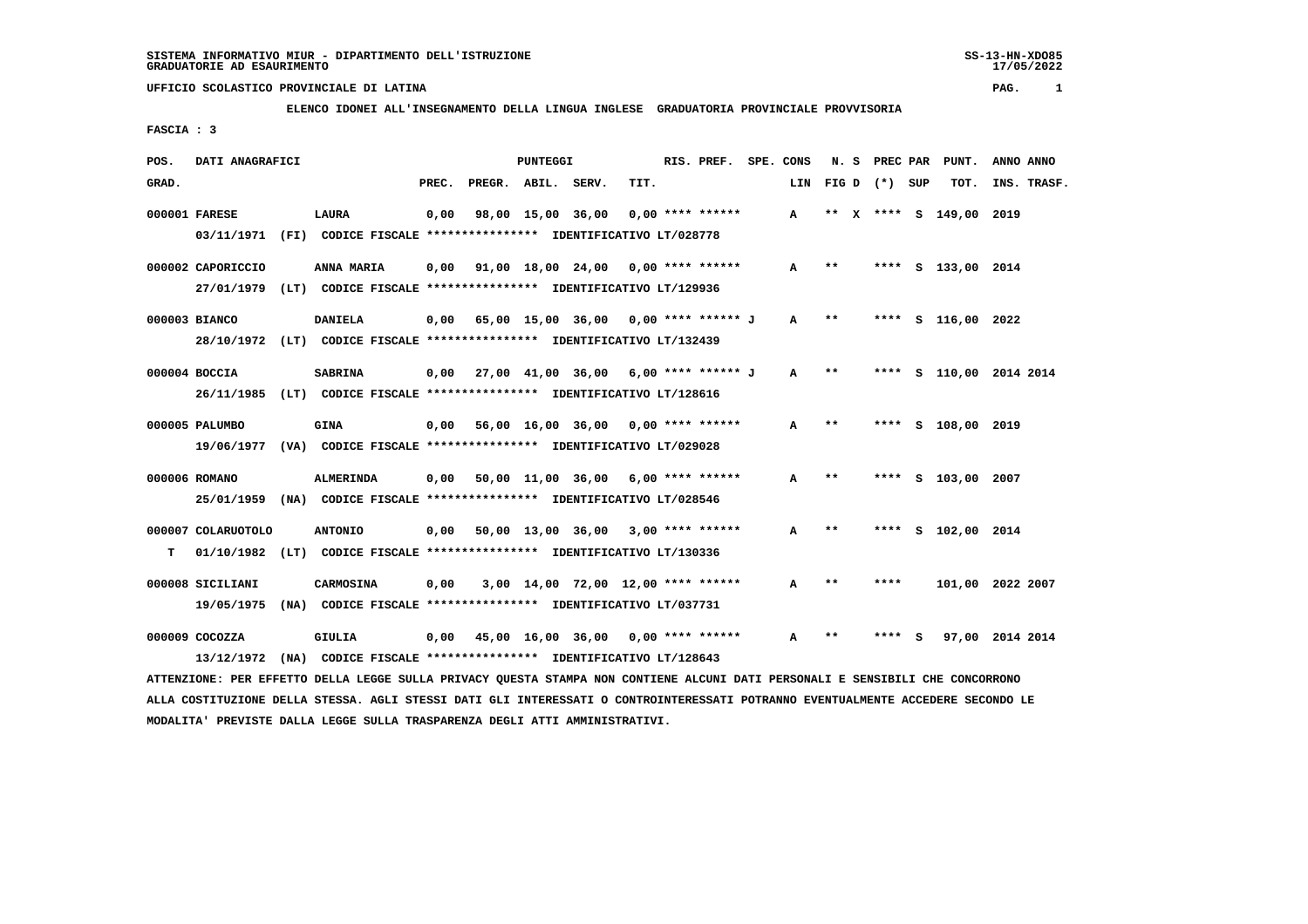17/05/2022

## **UFFICIO SCOLASTICO PROVINCIALE DI LATINA PAG. 1**

# **ELENCO IDONEI ALL'INSEGNAMENTO DELLA LINGUA INGLESE GRADUATORIA PROVINCIALE PROVVISORIA**

 **FASCIA : 3**

| POS.  | DATI ANAGRAFICI    |                                                                         | PUNTEGGI |                    |                   | RIS. PREF.                                  |      | SPE. CONS |                    | N. S PREC PAR | PUNT.        | ANNO ANNO |                    |                    |
|-------|--------------------|-------------------------------------------------------------------------|----------|--------------------|-------------------|---------------------------------------------|------|-----------|--------------------|---------------|--------------|-----------|--------------------|--------------------|
| GRAD. |                    |                                                                         | PREC.    | PREGR. ABIL. SERV. |                   |                                             | TIT. |           |                    | LIN           | FIGD (*) SUP |           | TOT.               | INS. TRASF.        |
|       | 000001 FARESE      | LAURA                                                                   | 0,00     |                    | 98,00 15,00 36,00 |                                             |      |           | $0.00$ **** ****** | A             |              |           | ** X **** S 149,00 | 2019               |
|       |                    | 03/11/1971 (FI) CODICE FISCALE *************** IDENTIFICATIVO LT/028778 |          |                    |                   |                                             |      |           |                    |               |              |           |                    |                    |
|       | 000002 CAPORICCIO  | ANNA MARIA                                                              | 0.00     |                    |                   | 91,00 18,00 24,00 0,00 **** ******          |      |           |                    | A             | $* *$        |           | **** S 133,00 2014 |                    |
|       |                    | 27/01/1979 (LT) CODICE FISCALE *************** IDENTIFICATIVO LT/129936 |          |                    |                   |                                             |      |           |                    |               |              |           |                    |                    |
|       | 000003 BIANCO      | <b>DANIELA</b>                                                          |          |                    |                   | $0.00$ 65.00 15.00 36.00 0.00 **** ****** J |      |           |                    | A             | $* *$        |           | **** S 116,00 2022 |                    |
|       |                    | 28/10/1972 (LT) CODICE FISCALE *************** IDENTIFICATIVO LT/132439 |          |                    |                   |                                             |      |           |                    |               |              |           |                    |                    |
|       | 000004 BOCCIA      | <b>SABRINA</b>                                                          |          |                    |                   | $0,00$ 27,00 41,00 36,00 6,00 **** ****** J |      |           |                    | A             | $* *$        | ****      |                    | S 110,00 2014 2014 |
|       |                    | 26/11/1985 (LT) CODICE FISCALE *************** IDENTIFICATIVO LT/128616 |          |                    |                   |                                             |      |           |                    |               |              |           |                    |                    |
|       | 000005 PALUMBO     | <b>GINA</b>                                                             |          |                    |                   | $0,00$ 56,00 16,00 36,00 0,00 **** ******   |      |           |                    | $\mathbf{A}$  | $***$        |           | **** S 108,00 2019 |                    |
|       |                    | 19/06/1977 (VA) CODICE FISCALE *************** IDENTIFICATIVO LT/029028 |          |                    |                   |                                             |      |           |                    |               |              |           |                    |                    |
|       | 000006 ROMANO      | ALMERINDA                                                               |          |                    |                   | $0,00$ 50,00 11,00 36,00 6,00 **** ******   |      |           |                    | $\mathbf{A}$  | $***$        |           | **** S 103,00 2007 |                    |
|       |                    | 25/01/1959 (NA) CODICE FISCALE *************** IDENTIFICATIVO LT/028546 |          |                    |                   |                                             |      |           |                    |               |              |           |                    |                    |
|       | 000007 COLARUOTOLO | <b>ANTONIO</b>                                                          |          |                    |                   | $0,00$ 50,00 13,00 36,00 3,00 **** ******   |      |           |                    | $\mathbf{A}$  | $* *$        | ****      | S 102,00 2014      |                    |
| т     | 01/10/1982         | (LT) CODICE FISCALE **************** IDENTIFICATIVO LT/130336           |          |                    |                   |                                             |      |           |                    |               |              |           |                    |                    |
|       | 000008 SICILIANI   | <b>CARMOSINA</b>                                                        | 0,00     |                    |                   | $3,00$ 14,00 72,00 12,00 **** ******        |      |           |                    | A             | **           | ****      |                    | 101,00 2022 2007   |
|       | 19/05/1975         | (NA) CODICE FISCALE **************** IDENTIFICATIVO LT/037731           |          |                    |                   |                                             |      |           |                    |               |              |           |                    |                    |
|       | $000009$ $COCOZZA$ | <b>GIULIA</b>                                                           |          |                    |                   | $0,00$ 45,00 16,00 36,00 0,00 **** ******   |      |           |                    | $\mathbf{A}$  | **           | **** S    |                    | 97,00 2014 2014    |
|       | 13/12/1972         | (NA) CODICE FISCALE **************** IDENTIFICATIVO LT/128643           |          |                    |                   |                                             |      |           |                    |               |              |           |                    |                    |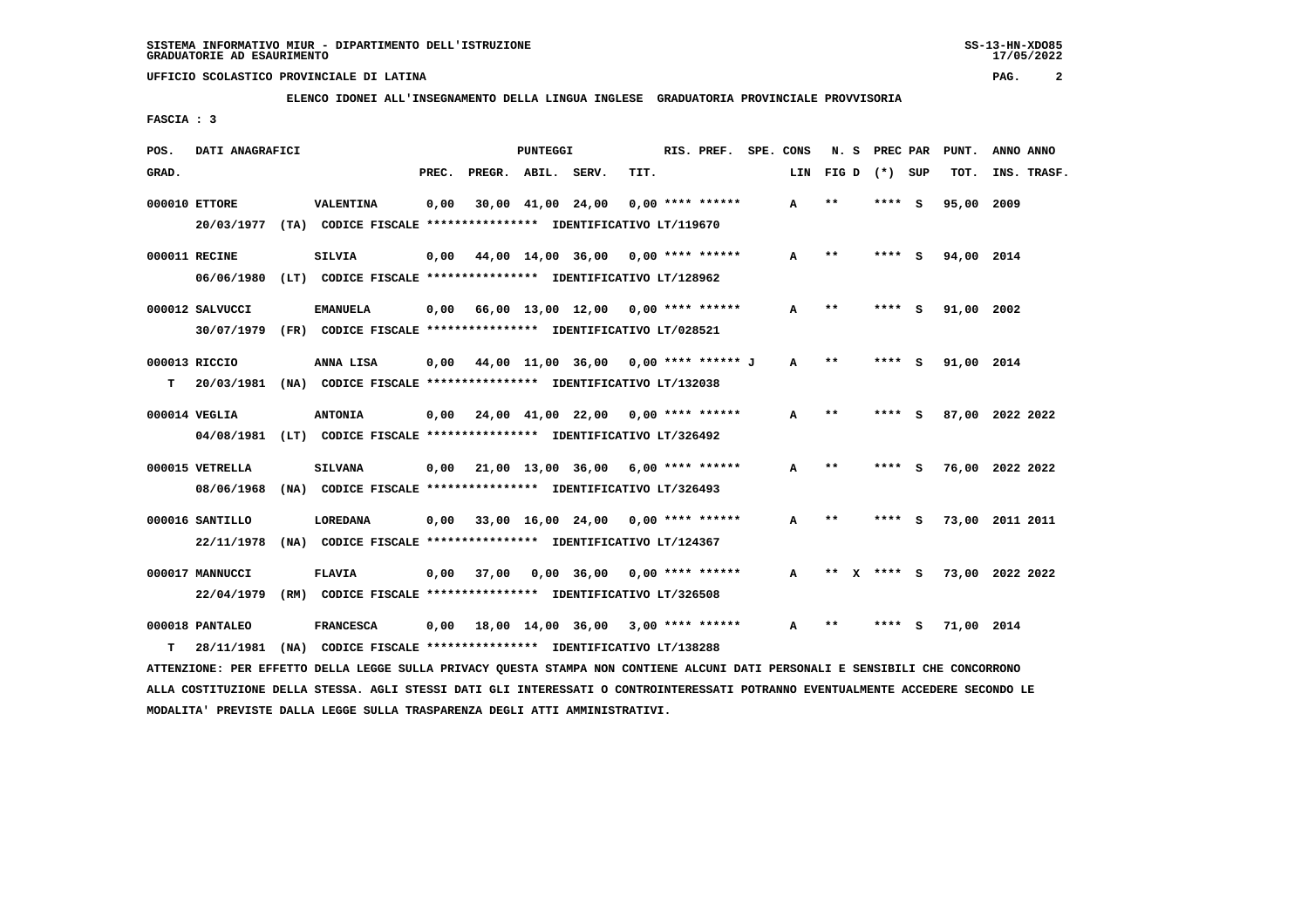**ELENCO IDONEI ALL'INSEGNAMENTO DELLA LINGUA INGLESE GRADUATORIA PROVINCIALE PROVVISORIA**

 **FASCIA : 3**

| POS.  | DATI ANAGRAFICI |                                                                         |       | PUNTEGGI           |  |                                             | RIS. PREF. SPE. CONS |                    | N. S         |                  | PREC PAR | PUNT.  | ANNO ANNO  |                 |
|-------|-----------------|-------------------------------------------------------------------------|-------|--------------------|--|---------------------------------------------|----------------------|--------------------|--------------|------------------|----------|--------|------------|-----------------|
| GRAD. |                 |                                                                         | PREC. | PREGR. ABIL. SERV. |  |                                             | TIT.                 |                    |              | LIN FIGD (*) SUP |          |        | TOT.       | INS. TRASF.     |
|       | 000010 ETTORE   | <b>VALENTINA</b>                                                        | 0,00  |                    |  | 30,00 41,00 24,00                           |                      | $0.00$ **** ****** | A            | $**$             | ****     | S.     | 95,00 2009 |                 |
|       | 20/03/1977      | (TA) CODICE FISCALE **************** IDENTIFICATIVO LT/119670           |       |                    |  |                                             |                      |                    |              |                  |          |        |            |                 |
|       | 000011 RECINE   | <b>SILVIA</b>                                                           | 0.00  |                    |  | 44,00 14,00 36,00 0,00 **** ******          |                      |                    | $\mathbf{A}$ | $* *$            |          | **** S | 94,00 2014 |                 |
|       | 06/06/1980      | (LT) CODICE FISCALE **************** IDENTIFICATIVO LT/128962           |       |                    |  |                                             |                      |                    |              |                  |          |        |            |                 |
|       | 000012 SALVUCCI | <b>EMANUELA</b>                                                         |       |                    |  | $0.00$ 66.00 13.00 12.00 0.00 **** ******   |                      |                    | A            | $* *$            |          | - S    | 91,00 2002 |                 |
|       |                 | 30/07/1979 (FR) CODICE FISCALE *************** IDENTIFICATIVO LT/028521 |       |                    |  |                                             |                      |                    |              |                  |          |        |            |                 |
|       | 000013 RICCIO   | ANNA LISA                                                               |       |                    |  | $0,00$ 44,00 11,00 36,00 0,00 **** ****** J |                      |                    | $\mathbf{A}$ | $* *$            | ****     | - 5    | 91,00 2014 |                 |
| т     | 20/03/1981      | (NA) CODICE FISCALE **************** IDENTIFICATIVO LT/132038           |       |                    |  |                                             |                      |                    |              |                  |          |        |            |                 |
|       | 000014 VEGLIA   | <b>ANTONIA</b>                                                          |       |                    |  | $0,00$ 24,00 41,00 22,00 0,00 **** ******   |                      |                    | A            | $**$             | ****     | - S    |            | 87,00 2022 2022 |
|       | 04/08/1981      | (LT) CODICE FISCALE **************** IDENTIFICATIVO LT/326492           |       |                    |  |                                             |                      |                    |              |                  |          |        |            |                 |
|       | 000015 VETRELLA | <b>SILVANA</b>                                                          |       |                    |  | $0,00$ 21,00 13,00 36,00 6,00 **** ******   |                      |                    | A            | $* *$            | ****     | - S    |            | 76,00 2022 2022 |
|       | 08/06/1968      | (NA) CODICE FISCALE **************** IDENTIFICATIVO LT/326493           |       |                    |  |                                             |                      |                    |              |                  |          |        |            |                 |
|       | 000016 SANTILLO | LOREDANA                                                                | 0,00  |                    |  | 33,00 16,00 24,00 0,00 **** ******          |                      |                    | A            | $* *$            |          | **** S |            | 73,00 2011 2011 |
|       | 22/11/1978      | (NA) CODICE FISCALE **************** IDENTIFICATIVO LT/124367           |       |                    |  |                                             |                      |                    |              |                  |          |        |            |                 |
|       | 000017 MANNUCCI | <b>FLAVIA</b>                                                           | 0.00  | 37,00              |  | $0.00$ 36,00 0,00 **** ******               |                      |                    | $\mathbf{A}$ | $***$<br>X.      |          | **** S |            | 73,00 2022 2022 |
|       | 22/04/1979      | (RM) CODICE FISCALE **************** IDENTIFICATIVO LT/326508           |       |                    |  |                                             |                      |                    |              |                  |          |        |            |                 |
|       | 000018 PANTALEO | <b>FRANCESCA</b>                                                        |       |                    |  | $0,00$ 18,00 14,00 36,00 3,00 **** ******   |                      |                    | A            | * *              |          | S      | 71,00 2014 |                 |
| т     | 28/11/1981      | (NA) CODICE FISCALE **************** IDENTIFICATIVO LT/138288           |       |                    |  |                                             |                      |                    |              |                  |          |        |            |                 |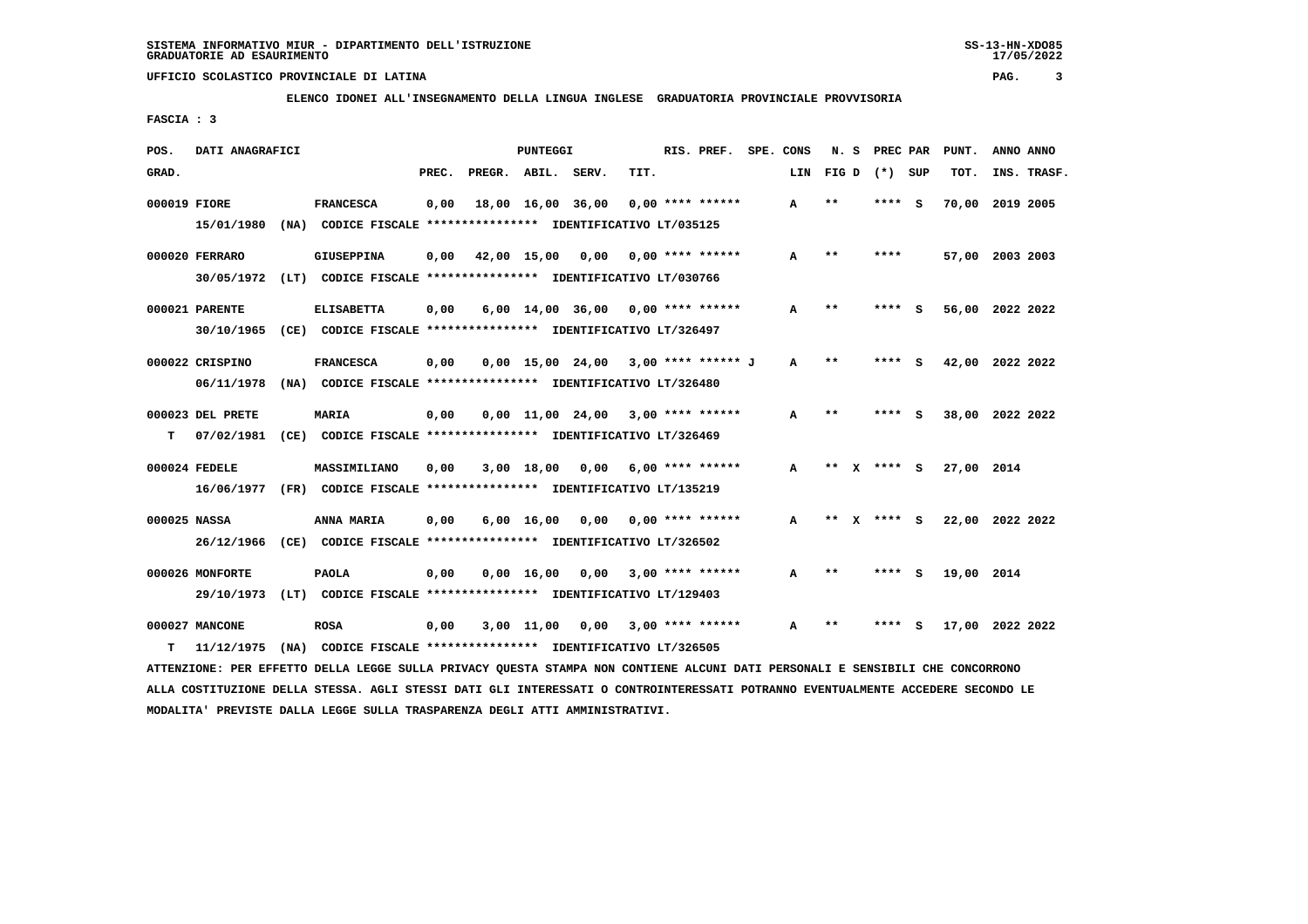**ELENCO IDONEI ALL'INSEGNAMENTO DELLA LINGUA INGLESE GRADUATORIA PROVINCIALE PROVVISORIA**

 **FASCIA : 3**

| POS.         | DATI ANAGRAFICI  |                                                                         |       |                    | PUNTEGGI           |                                       |      | RIS. PREF.         | SPE. CONS | N.S          |              | PREC PAR |     | PUNT.      | ANNO ANNO       |
|--------------|------------------|-------------------------------------------------------------------------|-------|--------------------|--------------------|---------------------------------------|------|--------------------|-----------|--------------|--------------|----------|-----|------------|-----------------|
| GRAD.        |                  |                                                                         | PREC. | PREGR. ABIL. SERV. |                    |                                       | TIT. |                    | LIN       | FIG D        |              | $(*)$    | SUP | TOT.       | INS. TRASF.     |
| 000019 FIORE |                  | <b>FRANCESCA</b>                                                        | 0,00  |                    |                    | 18,00 16,00 36,00                     |      | $0.00$ **** ****** | A         | $***$        |              | ****     | - S |            | 70,00 2019 2005 |
|              | 15/01/1980       | (NA) CODICE FISCALE **************** IDENTIFICATIVO LT/035125           |       |                    |                    |                                       |      |                    |           |              |              |          |     |            |                 |
|              | 000020 FERRARO   | <b>GIUSEPPINA</b>                                                       | 0,00  |                    | 42,00 15,00        | 0,00                                  |      | $0.00$ **** ****** | A         | $* *$        |              | ****     |     |            | 57,00 2003 2003 |
|              |                  | 30/05/1972 (LT) CODICE FISCALE *************** IDENTIFICATIVO LT/030766 |       |                    |                    |                                       |      |                    |           |              |              |          |     |            |                 |
|              | 000021 PARENTE   | <b>ELISABETTA</b>                                                       | 0,00  |                    |                    | $6,00$ $14,00$ $36,00$                |      | $0.00$ **** ****** | А         | $***$        |              |          | s   | 56,00      | 2022 2022       |
|              | 30/10/1965       | (CE) CODICE FISCALE **************** IDENTIFICATIVO LT/326497           |       |                    |                    |                                       |      |                    |           |              |              |          |     |            |                 |
|              | 000022 CRISPINO  | <b>FRANCESCA</b>                                                        | 0,00  |                    |                    | $0,00$ 15,00 24,00 3,00 **** ****** J |      |                    | A         | $* *$        |              | **** S   |     |            | 42,00 2022 2022 |
|              | 06/11/1978       | (NA) CODICE FISCALE **************** IDENTIFICATIVO LT/326480           |       |                    |                    |                                       |      |                    |           |              |              |          |     |            |                 |
|              | 000023 DEL PRETE | <b>MARIA</b>                                                            | 0,00  |                    |                    | $0.00$ 11.00 24.00 3.00 **** ******   |      |                    | A         | $**$         |              | **** S   |     |            | 38,00 2022 2022 |
| т            | 07/02/1981       | (CE) CODICE FISCALE **************** IDENTIFICATIVO LT/326469           |       |                    |                    |                                       |      |                    |           |              |              |          |     |            |                 |
|              | 000024 FEDELE    | MASSIMILIANO                                                            | 0,00  |                    | 3,00 18,00         | 0,00                                  |      | $6.00$ **** ****** | A         | $\star\star$ | X.           | **** S   |     | 27,00 2014 |                 |
|              | 16/06/1977       | (FR) CODICE FISCALE **************** IDENTIFICATIVO LT/135219           |       |                    |                    |                                       |      |                    |           |              |              |          |     |            |                 |
| 000025 NASSA |                  | ANNA MARIA                                                              | 0,00  |                    | $6,00 \quad 16,00$ | 0.00                                  |      | $0.00$ **** ****** | A         | $***$        | $\mathbf{x}$ | **** S   |     |            | 22,00 2022 2022 |
|              | 26/12/1966       | (CE) CODICE FISCALE **************** IDENTIFICATIVO LT/326502           |       |                    |                    |                                       |      |                    |           |              |              |          |     |            |                 |
|              | 000026 MONFORTE  | <b>PAOLA</b>                                                            | 0,00  |                    | 0.00 16.00         | 0.00                                  |      | $3.00$ **** ****** | A         | $* *$        |              | ****     | - S | 19,00 2014 |                 |
|              | 29/10/1973       | (LT) CODICE FISCALE **************** IDENTIFICATIVO LT/129403           |       |                    |                    |                                       |      |                    |           |              |              |          |     |            |                 |
|              | 000027 MANCONE   | <b>ROSA</b>                                                             | 0,00  |                    | $3,00$ 11,00       | 0,00                                  |      | $3,00$ **** ****** | A         | **           |              |          | s   |            | 17,00 2022 2022 |
| т            | 11/12/1975       | (NA) CODICE FISCALE **************** IDENTIFICATIVO LT/326505           |       |                    |                    |                                       |      |                    |           |              |              |          |     |            |                 |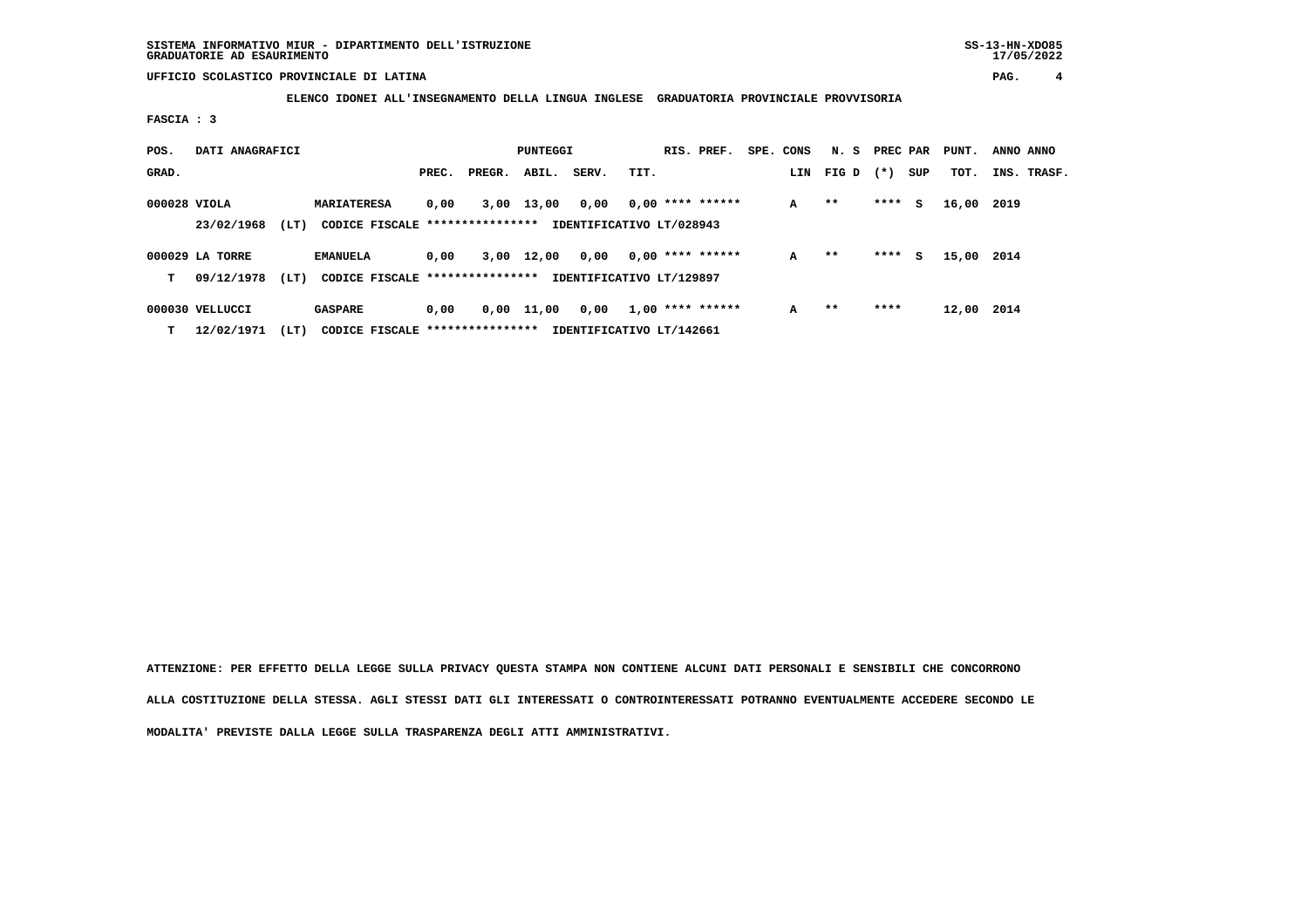**ELENCO IDONEI ALL'INSEGNAMENTO DELLA LINGUA INGLESE GRADUATORIA PROVINCIALE PROVVISORIA**

 **FASCIA : 3**

| POS.         | DATI ANAGRAFICI<br>PUNTEGGI   |      |                                                       |       |        |       |                                  |      | RIS. PREF.         | SPE. CONS | N. S  | PREC PAR |     | PUNT. | ANNO ANNO   |  |
|--------------|-------------------------------|------|-------------------------------------------------------|-------|--------|-------|----------------------------------|------|--------------------|-----------|-------|----------|-----|-------|-------------|--|
| GRAD.        |                               |      |                                                       | PREC. | PREGR. | ABIL. | SERV.                            | TIT. |                    | LIN       | FIG D | $(* )$   | SUP | TOT.  | INS. TRASF. |  |
| 000028 VIOLA | 23/02/1968                    | (LT) | <b>MARIATERESA</b><br>CODICE FISCALE **************** | 0,00  | 3,00   | 13,00 | 0,00<br>IDENTIFICATIVO LT/028943 |      | $0,00$ **** ****** | A         | $* *$ | ****     | s   | 16,00 | 2019        |  |
| т            | 000029 LA TORRE<br>09/12/1978 | (LT) | <b>EMANUELA</b><br>CODICE FISCALE *****************   | 0.00  | 3,00   | 12,00 | 0.00<br>IDENTIFICATIVO LT/129897 |      | $0,00$ **** ****** | A         | $**$  | ****     | s   | 15,00 | 2014        |  |
| т            | 000030 VELLUCCI<br>12/02/1971 | (LT) | <b>GASPARE</b><br>CODICE FISCALE *****************    | 0,00  | 0,00   | 11,00 | 0,00<br>IDENTIFICATIVO LT/142661 |      | $1,00$ **** ****** | A         | $* *$ | ****     |     | 12,00 | 2014        |  |